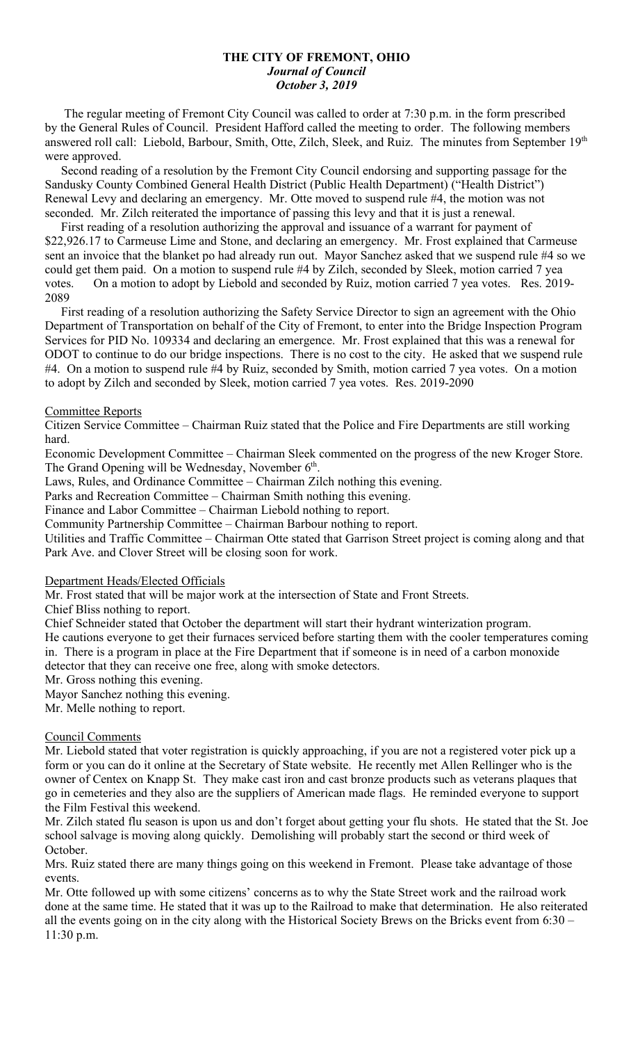#### **THE CITY OF FREMONT, OHIO** *Journal of Council October 3, 2019*

 The regular meeting of Fremont City Council was called to order at 7:30 p.m. in the form prescribed by the General Rules of Council. President Hafford called the meeting to order. The following members answered roll call: Liebold, Barbour, Smith, Otte, Zilch, Sleek, and Ruiz. The minutes from September 19th were approved.

 Second reading of a resolution by the Fremont City Council endorsing and supporting passage for the Sandusky County Combined General Health District (Public Health Department) ("Health District") Renewal Levy and declaring an emergency. Mr. Otte moved to suspend rule #4, the motion was not seconded. Mr. Zilch reiterated the importance of passing this levy and that it is just a renewal.

 First reading of a resolution authorizing the approval and issuance of a warrant for payment of \$22,926.17 to Carmeuse Lime and Stone, and declaring an emergency. Mr. Frost explained that Carmeuse sent an invoice that the blanket po had already run out. Mayor Sanchez asked that we suspend rule #4 so we could get them paid. On a motion to suspend rule #4 by Zilch, seconded by Sleek, motion carried 7 yea votes. On a motion to adopt by Liebold and seconded by Ruiz, motion carried 7 yea votes. Res. 2019- 2089

 First reading of a resolution authorizing the Safety Service Director to sign an agreement with the Ohio Department of Transportation on behalf of the City of Fremont, to enter into the Bridge Inspection Program Services for PID No. 109334 and declaring an emergence. Mr. Frost explained that this was a renewal for ODOT to continue to do our bridge inspections. There is no cost to the city. He asked that we suspend rule #4. On a motion to suspend rule #4 by Ruiz, seconded by Smith, motion carried 7 yea votes. On a motion to adopt by Zilch and seconded by Sleek, motion carried 7 yea votes. Res. 2019-2090

#### Committee Reports

Citizen Service Committee – Chairman Ruiz stated that the Police and Fire Departments are still working hard.

Economic Development Committee – Chairman Sleek commented on the progress of the new Kroger Store. The Grand Opening will be Wednesday, November 6<sup>th</sup>.

Laws, Rules, and Ordinance Committee – Chairman Zilch nothing this evening.

Parks and Recreation Committee – Chairman Smith nothing this evening.

Finance and Labor Committee – Chairman Liebold nothing to report.

Community Partnership Committee – Chairman Barbour nothing to report.

Utilities and Traffic Committee – Chairman Otte stated that Garrison Street project is coming along and that Park Ave. and Clover Street will be closing soon for work.

## Department Heads/Elected Officials

Mr. Frost stated that will be major work at the intersection of State and Front Streets.

Chief Bliss nothing to report.

Chief Schneider stated that October the department will start their hydrant winterization program.

He cautions everyone to get their furnaces serviced before starting them with the cooler temperatures coming in. There is a program in place at the Fire Department that if someone is in need of a carbon monoxide detector that they can receive one free, along with smoke detectors.

Mr. Gross nothing this evening.

Mayor Sanchez nothing this evening.

Mr. Melle nothing to report.

## Council Comments

Mr. Liebold stated that voter registration is quickly approaching, if you are not a registered voter pick up a form or you can do it online at the Secretary of State website. He recently met Allen Rellinger who is the owner of Centex on Knapp St. They make cast iron and cast bronze products such as veterans plaques that go in cemeteries and they also are the suppliers of American made flags. He reminded everyone to support the Film Festival this weekend.

Mr. Zilch stated flu season is upon us and don't forget about getting your flu shots. He stated that the St. Joe school salvage is moving along quickly. Demolishing will probably start the second or third week of October.

Mrs. Ruiz stated there are many things going on this weekend in Fremont. Please take advantage of those events.

Mr. Otte followed up with some citizens' concerns as to why the State Street work and the railroad work done at the same time. He stated that it was up to the Railroad to make that determination. He also reiterated all the events going on in the city along with the Historical Society Brews on the Bricks event from 6:30 – 11:30 p.m.